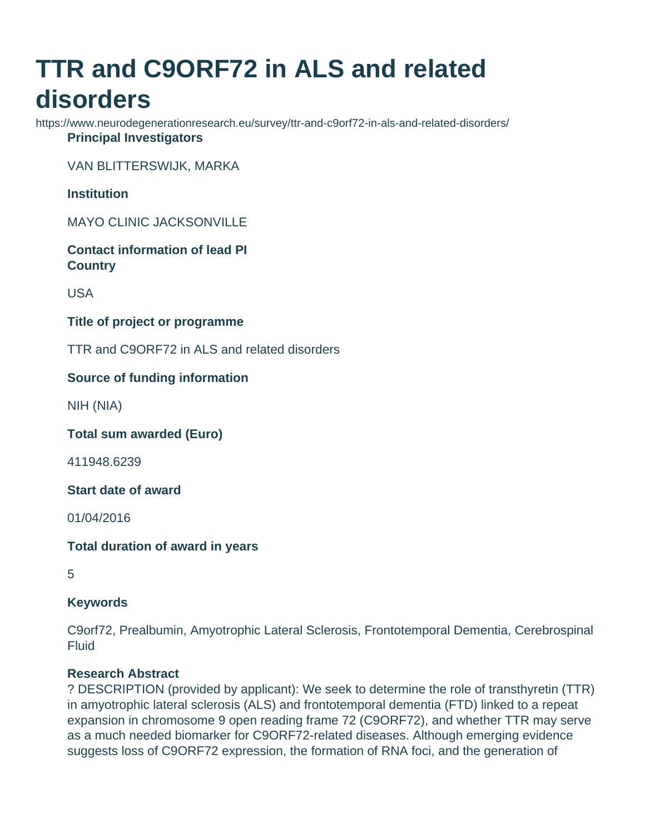# **TTR and C9ORF72 in ALS and related disorders**

https://www.neurodegenerationresearch.eu/survey/ttr-and-c9orf72-in-als-and-related-disorders/ **Principal Investigators**

VAN BLITTERSWIJK, MARKA

**Institution**

MAYO CLINIC JACKSONVILLE

**Contact information of lead PI Country**

USA

**Title of project or programme**

TTR and C9ORF72 in ALS and related disorders

# **Source of funding information**

NIH (NIA)

**Total sum awarded (Euro)**

411948.6239

**Start date of award**

01/04/2016

**Total duration of award in years**

5

### **Keywords**

C9orf72, Prealbumin, Amyotrophic Lateral Sclerosis, Frontotemporal Dementia, Cerebrospinal Fluid

# **Research Abstract**

? DESCRIPTION (provided by applicant): We seek to determine the role of transthyretin (TTR) in amyotrophic lateral sclerosis (ALS) and frontotemporal dementia (FTD) linked to a repeat expansion in chromosome 9 open reading frame 72 (C9ORF72), and whether TTR may serve as a much needed biomarker for C9ORF72-related diseases. Although emerging evidence suggests loss of C9ORF72 expression, the formation of RNA foci, and the generation of